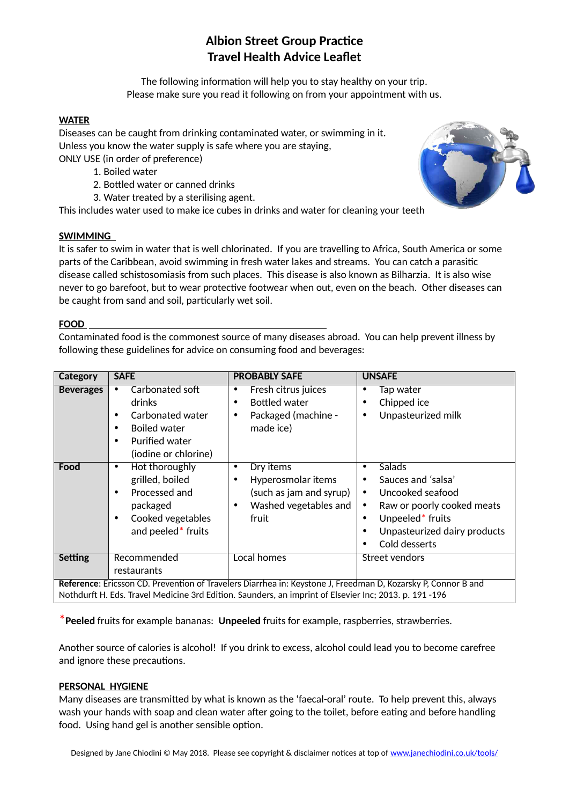# **Albion Street Group Practice Travel Health Advice Leaflet**

The following information will help you to stay healthy on your trip. Please make sure you read it following on from your appointment with us.

#### **WATER**

Diseases can be caught from drinking contaminated water, or swimming in it. Unless you know the water supply is safe where you are staying, ONLY USE (in order of preference)

- 1. Boiled water
- 2. Bottled water or canned drinks
- 3. Water treated by a sterilising agent.

This includes water used to make ice cubes in drinks and water for cleaning your teeth

## **SWIMMING**

It is safer to swim in water that is well chlorinated. If you are travelling to Africa, South America or some parts of the Caribbean, avoid swimming in fresh water lakes and streams. You can catch a parasitic disease called schistosomiasis from such places. This disease is also known as Bilharzia. It is also wise never to go barefoot, but to wear protective footwear when out, even on the beach. Other diseases can be caught from sand and soil, particularly wet soil.

## **FOOD**

Contaminated food is the commonest source of many diseases abroad. You can help prevent illness by following these guidelines for advice on consuming food and beverages:

| Category                                                                                                                                                                                                                | <b>SAFE</b>                                                                                                                                          | <b>PROBABLY SAFE</b>                                                                                                        | <b>UNSAFE</b>                                                                                                                                                                                                      |  |
|-------------------------------------------------------------------------------------------------------------------------------------------------------------------------------------------------------------------------|------------------------------------------------------------------------------------------------------------------------------------------------------|-----------------------------------------------------------------------------------------------------------------------------|--------------------------------------------------------------------------------------------------------------------------------------------------------------------------------------------------------------------|--|
| <b>Beverages</b>                                                                                                                                                                                                        | Carbonated soft<br>٠<br>drinks<br>Carbonated water<br>$\bullet$<br><b>Boiled water</b><br>$\bullet$                                                  | Fresh citrus juices<br>٠<br><b>Bottled water</b><br>Packaged (machine -<br>$\bullet$<br>made ice)                           | Tap water<br>٠<br>Chipped ice<br>٠<br>Unpasteurized milk<br>$\bullet$                                                                                                                                              |  |
|                                                                                                                                                                                                                         | <b>Purified water</b><br>$\bullet$<br>(iodine or chlorine)                                                                                           |                                                                                                                             |                                                                                                                                                                                                                    |  |
| Food                                                                                                                                                                                                                    | Hot thoroughly<br>$\bullet$<br>grilled, boiled<br>Processed and<br>$\bullet$<br>packaged<br>Cooked vegetables<br>٠<br>and peeled <sup>*</sup> fruits | Dry items<br>٠<br>Hyperosmolar items<br>$\bullet$<br>(such as jam and syrup)<br>Washed vegetables and<br>$\bullet$<br>fruit | Salads<br>٠<br>Sauces and 'salsa'<br>٠<br>Uncooked seafood<br>$\bullet$<br>Raw or poorly cooked meats<br>٠<br>Unpeeled <sup>*</sup> fruits<br>٠<br>Unpasteurized dairy products<br>٠<br>Cold desserts<br>$\bullet$ |  |
| <b>Setting</b>                                                                                                                                                                                                          | Recommended<br>restaurants                                                                                                                           | Local homes                                                                                                                 | Street vendors                                                                                                                                                                                                     |  |
| Reference: Ericsson CD. Prevention of Travelers Diarrhea in: Keystone J, Freedman D, Kozarsky P, Connor B and<br>Nothdurft H. Eds. Travel Medicine 3rd Edition. Saunders, an imprint of Elsevier Inc; 2013. p. 191 -196 |                                                                                                                                                      |                                                                                                                             |                                                                                                                                                                                                                    |  |

\***Peeled** fruits for example bananas: **Unpeeled** fruits for example, raspberries, strawberries.

Another source of calories is alcohol! If you drink to excess, alcohol could lead you to become carefree and ignore these precautions.

## **PERSONAL HYGIENE**

Many diseases are transmitted by what is known as the 'faecal-oral' route. To help prevent this, always wash your hands with soap and clean water after going to the toilet, before eating and before handling food. Using hand gel is another sensible option.

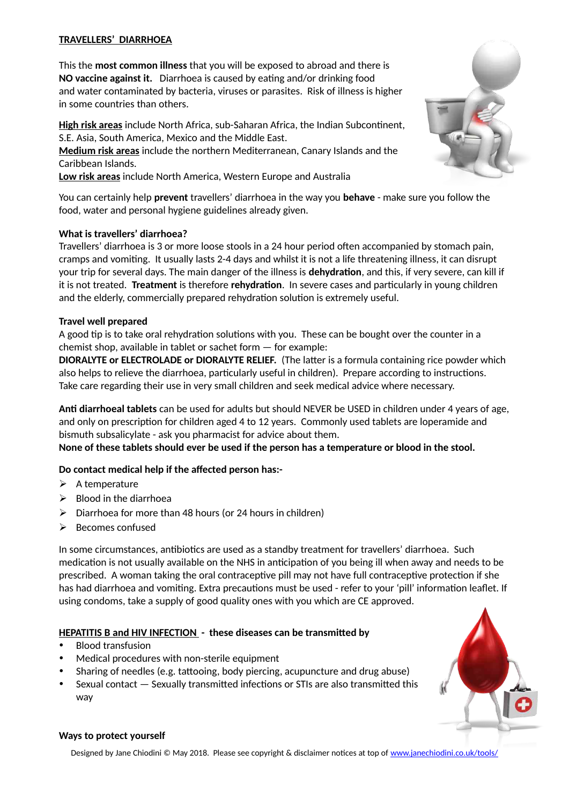## **TRAVELLERS' DIARRHOEA**

This the **most common illness** that you will be exposed to abroad and there is **NO vaccine against it.** Diarrhoea is caused by eating and/or drinking food and water contaminated by bacteria, viruses or parasites. Risk of illness is higher in some countries than others.

**High risk areas** include North Africa, sub-Saharan Africa, the Indian Subcontinent, S.E. Asia, South America, Mexico and the Middle East.

**Medium risk areas** include the northern Mediterranean, Canary Islands and the Caribbean Islands.

**Low risk areas** include North America, Western Europe and Australia

You can certainly help **prevent** travellers' diarrhoea in the way you **behave** - make sure you follow the food, water and personal hygiene guidelines already given.

## **What is travellers' diarrhoea?**

Travellers' diarrhoea is 3 or more loose stools in a 24 hour period often accompanied by stomach pain, cramps and vomiting. It usually lasts 2-4 days and whilst it is not a life threatening illness, it can disrupt your trip for several days. The main danger of the illness is **dehydration**, and this, if very severe, can kill if it is not treated. **Treatment** is therefore **rehydration**. In severe cases and particularly in young children and the elderly, commercially prepared rehydration solution is extremely useful.

## **Travel well prepared**

A good tip is to take oral rehydration solutions with you. These can be bought over the counter in a chemist shop, available in tablet or sachet form — for example:

**DIORALYTE or ELECTROLADE or DIORALYTE RELIEF.** (The latter is a formula containing rice powder which also helps to relieve the diarrhoea, particularly useful in children). Prepare according to instructions. Take care regarding their use in very small children and seek medical advice where necessary.

**Anti diarrhoeal tablets** can be used for adults but should NEVER be USED in children under 4 years of age, and only on prescription for children aged 4 to 12 years. Commonly used tablets are loperamide and bismuth subsalicylate - ask you pharmacist for advice about them.

**None of these tablets should ever be used if the person has a temperature or blood in the stool.** 

## **Do contact medical help if the affected person has:-**

- $\triangleright$  A temperature
- $\triangleright$  Blood in the diarrhoea
- $\triangleright$  Diarrhoea for more than 48 hours (or 24 hours in children)
- $\triangleright$  Becomes confused

In some circumstances, antibiotics are used as a standby treatment for travellers' diarrhoea. Such medication is not usually available on the NHS in anticipation of you being ill when away and needs to be prescribed. A woman taking the oral contraceptive pill may not have full contraceptive protection if she has had diarrhoea and vomiting. Extra precautions must be used - refer to your 'pill' information leaflet. If using condoms, take a supply of good quality ones with you which are CE approved.

## **HEPATITIS B and HIV INFECTION - these diseases can be transmitted by**

- Blood transfusion
- Medical procedures with non-sterile equipment
- Sharing of needles (e.g. tattooing, body piercing, acupuncture and drug abuse)
- Sexual contact Sexually transmitted infections or STIs are also transmitted this way



#### **Ways to protect yourself**

Designed by Jane Chiodini © May 2018. Please see copyright & disclaimer notices at top of [www.janechiodini.co.uk/tools/](http://www.janechiodini.co.uk/tools/)

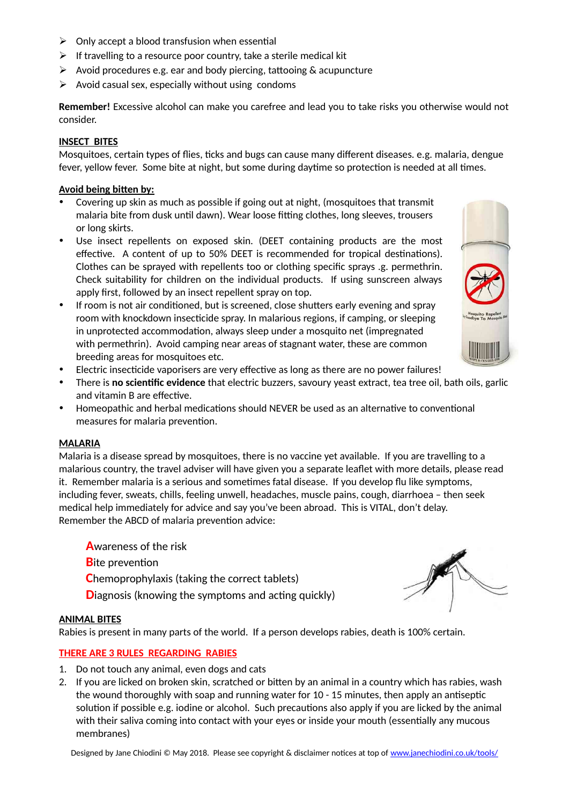- $\triangleright$  Only accept a blood transfusion when essential
- $\triangleright$  If travelling to a resource poor country, take a sterile medical kit
- $\triangleright$  Avoid procedures e.g. ear and body piercing, tattooing & acupuncture
- $\triangleright$  Avoid casual sex, especially without using condoms

**Remember!** Excessive alcohol can make you carefree and lead you to take risks you otherwise would not consider.

#### **INSECT BITES**

Mosquitoes, certain types of flies, ticks and bugs can cause many different diseases. e.g. malaria, dengue fever, yellow fever. Some bite at night, but some during daytime so protection is needed at all times.

#### **Avoid being bitten by:**

- Covering up skin as much as possible if going out at night, (mosquitoes that transmit malaria bite from dusk until dawn). Wear loose fitting clothes, long sleeves, trousers or long skirts.
- Use insect repellents on exposed skin. (DEET containing products are the most effective. A content of up to 50% DEET is recommended for tropical destinations). Clothes can be sprayed with repellents too or clothing specific sprays .g. permethrin. Check suitability for children on the individual products. If using sunscreen always apply first, followed by an insect repellent spray on top.
- If room is not air conditioned, but is screened, close shutters early evening and spray room with knockdown insecticide spray. In malarious regions, if camping, or sleeping in unprotected accommodation, always sleep under a mosquito net (impregnated with permethrin). Avoid camping near areas of stagnant water, these are common breeding areas for mosquitoes etc.



- Electric insecticide vaporisers are very effective as long as there are no power failures!
- There is **no scientific evidence** that electric buzzers, savoury yeast extract, tea tree oil, bath oils, garlic and vitamin B are effective.
- Homeopathic and herbal medications should NEVER be used as an alternative to conventional measures for malaria prevention.

#### **MALARIA**

Malaria is a disease spread by mosquitoes, there is no vaccine yet available. If you are travelling to a malarious country, the travel adviser will have given you a separate leaflet with more details, please read it. Remember malaria is a serious and sometimes fatal disease. If you develop flu like symptoms, including fever, sweats, chills, feeling unwell, headaches, muscle pains, cough, diarrhoea – then seek medical help immediately for advice and say you've been abroad. This is VITAL, don't delay. Remember the ABCD of malaria prevention advice:

**A**wareness of the risk **B**ite prevention **C**hemoprophylaxis (taking the correct tablets) **Diagnosis (knowing the symptoms and acting quickly)** 

#### **ANIMAL BITES**

Rabies is present in many parts of the world. If a person develops rabies, death is 100% certain.

#### **THERE ARE 3 RULES REGARDING RABIES**

- 1. Do not touch any animal, even dogs and cats
- 2. If you are licked on broken skin, scratched or bitten by an animal in a country which has rabies, wash the wound thoroughly with soap and running water for 10 - 15 minutes, then apply an antiseptic solution if possible e.g. iodine or alcohol. Such precautions also apply if you are licked by the animal with their saliva coming into contact with your eyes or inside your mouth (essentially any mucous membranes)

Designed by Jane Chiodini © May 2018. Please see copyright & disclaimer notices at top of [www.janechiodini.co.uk/tools/](http://www.janechiodini.co.uk/tools/)

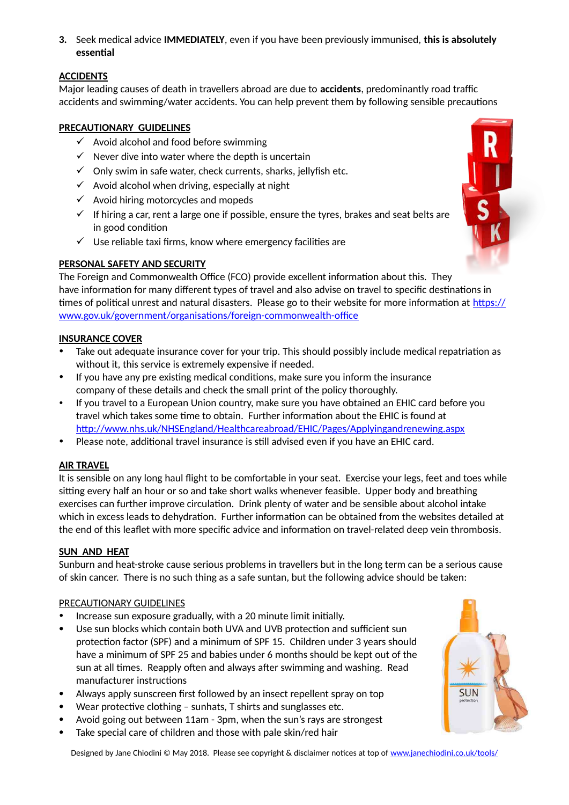**3.** Seek medical advice **IMMEDIATELY**, even if you have been previously immunised, **this is absolutely essential**

## **ACCIDENTS**

Major leading causes of death in travellers abroad are due to **accidents**, predominantly road traffic accidents and swimming/water accidents. You can help prevent them by following sensible precautions

## **PRECAUTIONARY GUIDELINES**

- $\checkmark$  Avoid alcohol and food before swimming
- $\checkmark$  Never dive into water where the depth is uncertain
- $\checkmark$  Only swim in safe water, check currents, sharks, jellyfish etc.
- $\checkmark$  Avoid alcohol when driving, especially at night
- $\checkmark$  Avoid hiring motorcycles and mopeds
- $\checkmark$  If hiring a car, rent a large one if possible, ensure the tyres, brakes and seat belts are in good condition
- $\checkmark$  Use reliable taxi firms, know where emergency facilities are

## **PERSONAL SAFETY AND SECURITY**

The Foreign and Commonwealth Office (FCO) provide excellent information about this. They have information for many different types of travel and also advise on travel to specific destinations in times of political unrest and natural disasters. Please go to their website for more information at [https://](https://www.gov.uk/government/organisations/foreign-commonwealth-office) [www.gov.uk/government/organisations/foreign-commonwealth-office](https://www.gov.uk/government/organisations/foreign-commonwealth-office)

## **INSURANCE COVER**

- Take out adequate insurance cover for your trip. This should possibly include medical repatriation as without it, this service is extremely expensive if needed.
- If you have any pre existing medical conditions, make sure you inform the insurance company of these details and check the small print of the policy thoroughly.
- If you travel to a European Union country, make sure you have obtained an EHIC card before you travel which takes some time to obtain. Further information about the EHIC is found at <http://www.nhs.uk/NHSEngland/Healthcareabroad/EHIC/Pages/Applyingandrenewing.aspx>
- Please note, additional travel insurance is still advised even if you have an EHIC card.

#### **AIR TRAVEL**

It is sensible on any long haul flight to be comfortable in your seat. Exercise your legs, feet and toes while sitting every half an hour or so and take short walks whenever feasible. Upper body and breathing exercises can further improve circulation. Drink plenty of water and be sensible about alcohol intake which in excess leads to dehydration. Further information can be obtained from the websites detailed at the end of this leaflet with more specific advice and information on travel-related deep vein thrombosis.

## **SUN AND HEAT**

Sunburn and heat-stroke cause serious problems in travellers but in the long term can be a serious cause of skin cancer. There is no such thing as a safe suntan, but the following advice should be taken:

#### PRECAUTIONARY GUIDELINES

- Increase sun exposure gradually, with a 20 minute limit initially.
- Use sun blocks which contain both UVA and UVB protection and sufficient sun protection factor (SPF) and a minimum of SPF 15. Children under 3 years should have a minimum of SPF 25 and babies under 6 months should be kept out of the sun at all times. Reapply often and always after swimming and washing. Read manufacturer instructions
- Always apply sunscreen first followed by an insect repellent spray on top
- Wear protective clothing sunhats, T shirts and sunglasses etc.
- Avoid going out between 11am 3pm, when the sun's rays are strongest
- Take special care of children and those with pale skin/red hair



**SUN** 

Designed by Jane Chiodini © May 2018. Please see copyright & disclaimer notices at top of [www.janechiodini.co.uk/tools/](http://www.janechiodini.co.uk/tools/)